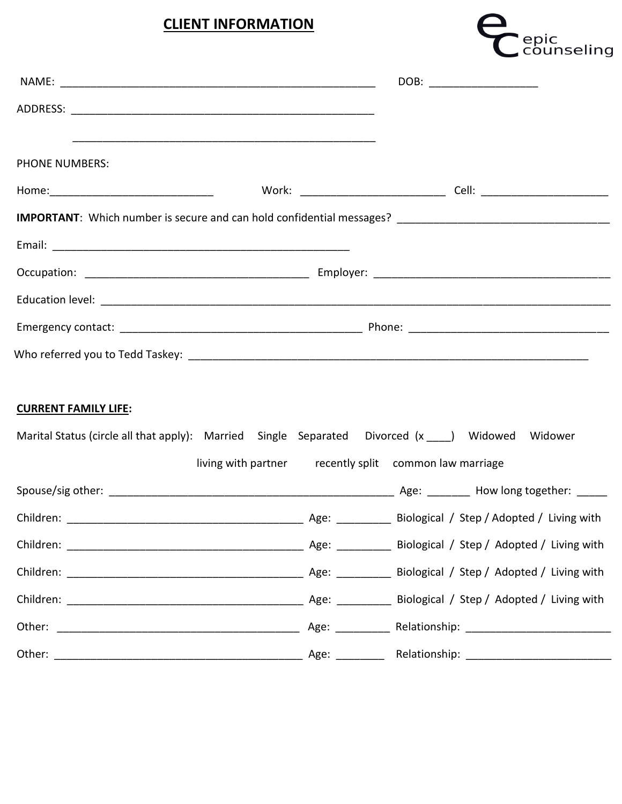## **CLIENT INFORMATION**



|                             | DOB: ________________________                          |                                                                                                    |  |
|-----------------------------|--------------------------------------------------------|----------------------------------------------------------------------------------------------------|--|
|                             |                                                        |                                                                                                    |  |
| <b>PHONE NUMBERS:</b>       |                                                        |                                                                                                    |  |
|                             |                                                        |                                                                                                    |  |
|                             |                                                        |                                                                                                    |  |
|                             |                                                        |                                                                                                    |  |
|                             |                                                        |                                                                                                    |  |
|                             |                                                        |                                                                                                    |  |
|                             |                                                        |                                                                                                    |  |
| <b>CURRENT FAMILY LIFE:</b> |                                                        |                                                                                                    |  |
|                             |                                                        | Marital Status (circle all that apply): Married Single Separated Divorced (x ____) Widowed Widower |  |
|                             | living with partner recently split common law marriage |                                                                                                    |  |
|                             |                                                        |                                                                                                    |  |
|                             |                                                        |                                                                                                    |  |
|                             |                                                        |                                                                                                    |  |
|                             |                                                        |                                                                                                    |  |
|                             |                                                        |                                                                                                    |  |
|                             |                                                        |                                                                                                    |  |
|                             |                                                        |                                                                                                    |  |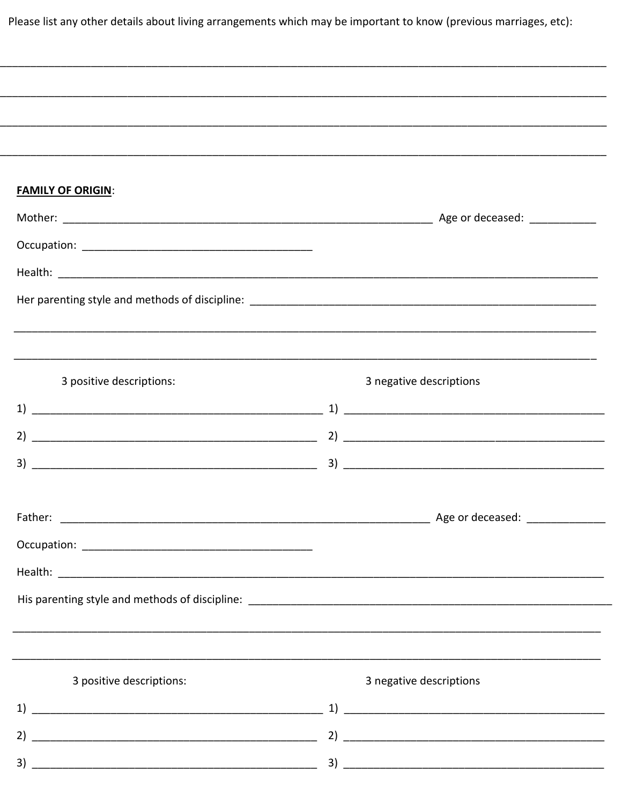Please list any other details about living arrangements which may be important to know (previous marriages, etc):

| ,我们就会在这里的人,我们就会在这里的人,我们就会在这里,我们就会在这里,我们就会在这里,我们就会在这里,我们就会在这里,我们就会在这里,我们就会在这里,我们就<br>第251章 我们的人,我们就会在这里,我们就会在这里,我们就会在这里,我们就会在这里,我们就会在这里,我们就会在这里,我们就会在这里,我们就会在这里,我们就会在 |                                  |
|----------------------------------------------------------------------------------------------------------------------------------------------------------------------|----------------------------------|
|                                                                                                                                                                      |                                  |
|                                                                                                                                                                      |                                  |
| <b>FAMILY OF ORIGIN:</b>                                                                                                                                             |                                  |
|                                                                                                                                                                      |                                  |
|                                                                                                                                                                      |                                  |
|                                                                                                                                                                      |                                  |
|                                                                                                                                                                      |                                  |
|                                                                                                                                                                      |                                  |
|                                                                                                                                                                      |                                  |
| 3 positive descriptions:                                                                                                                                             | 3 negative descriptions          |
|                                                                                                                                                                      |                                  |
| 2)                                                                                                                                                                   |                                  |
| 3)                                                                                                                                                                   |                                  |
|                                                                                                                                                                      |                                  |
| Father:                                                                                                                                                              | _Age or deceased: ______________ |
|                                                                                                                                                                      |                                  |
|                                                                                                                                                                      |                                  |
|                                                                                                                                                                      |                                  |
|                                                                                                                                                                      |                                  |
|                                                                                                                                                                      |                                  |
| 3 positive descriptions:                                                                                                                                             | 3 negative descriptions          |
|                                                                                                                                                                      |                                  |
|                                                                                                                                                                      |                                  |
|                                                                                                                                                                      |                                  |
|                                                                                                                                                                      |                                  |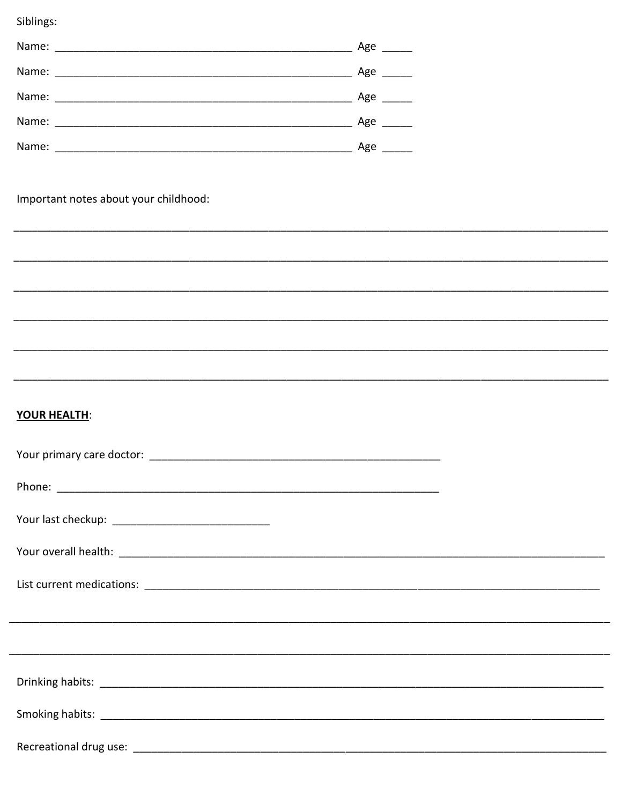Siblings:

| Name: | Age |
|-------|-----|
| Name: | Age |
| Name: | Age |
| Name: | Age |
| Name: | Age |

Important notes about your childhood:

## YOUR HEALTH: